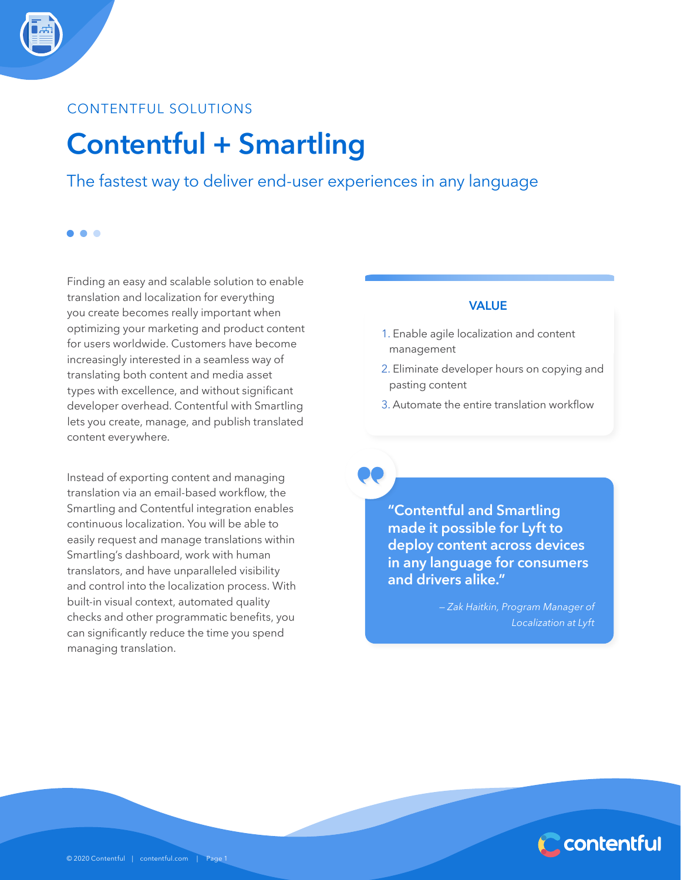### CONTENTFUL SOLUTIONS

. . .

## **Contentful + Smartling**

The fastest way to deliver end-user experiences in any language

Finding an easy and scalable solution to enable translation and localization for everything you create becomes really important when optimizing your marketing and product content for users worldwide. Customers have become increasingly interested in a seamless way of translating both content and media asset types with excellence, and without significant developer overhead. Contentful with Smartling lets you create, manage, and publish translated content everywhere.

Instead of exporting content and managing translation via an email-based workflow, the Smartling and Contentful integration enables continuous localization. You will be able to easily request and manage translations within Smartling's dashboard, work with human translators, and have unparalleled visibility and control into the localization process. With built-in visual context, automated quality checks and other programmatic benefits, you can significantly reduce the time you spend managing translation.

#### VALUE

- 1. Enable agile localization and content management
- 2. Eliminate developer hours on copying and pasting content
- 3. Automate the entire translation workflow

**"Contentful and Smartling made it possible for Lyft to deploy content across devices in any language for consumers and drivers alike."**

> *— Zak Haitkin, Program Manager of Localization at Lyft*

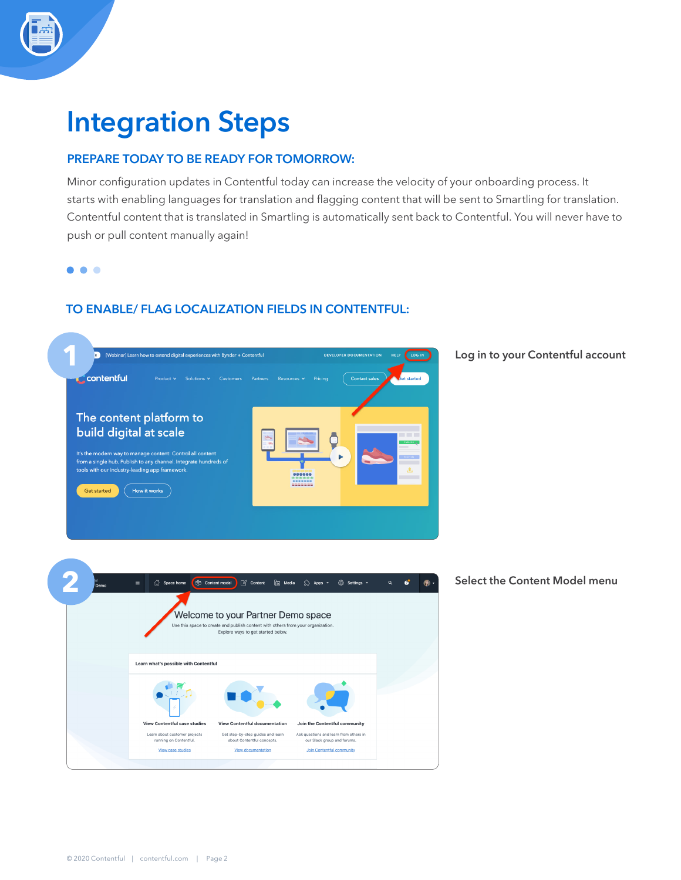# **Integration Steps**

### PREPARE TODAY TO BE READY FOR TOMORROW:

Minor configuration updates in Contentful today can increase the velocity of your onboarding process. It starts with enabling languages for translation and flagging content that will be sent to Smartling for translation. Contentful content that is translated in Smartling is automatically sent back to Contentful. You will never have to push or pull content manually again!

 $\bullet$   $\bullet$   $\bullet$ 

### TO ENABLE/ FLAG LOCALIZATION FIELDS IN CONTENTFUL:

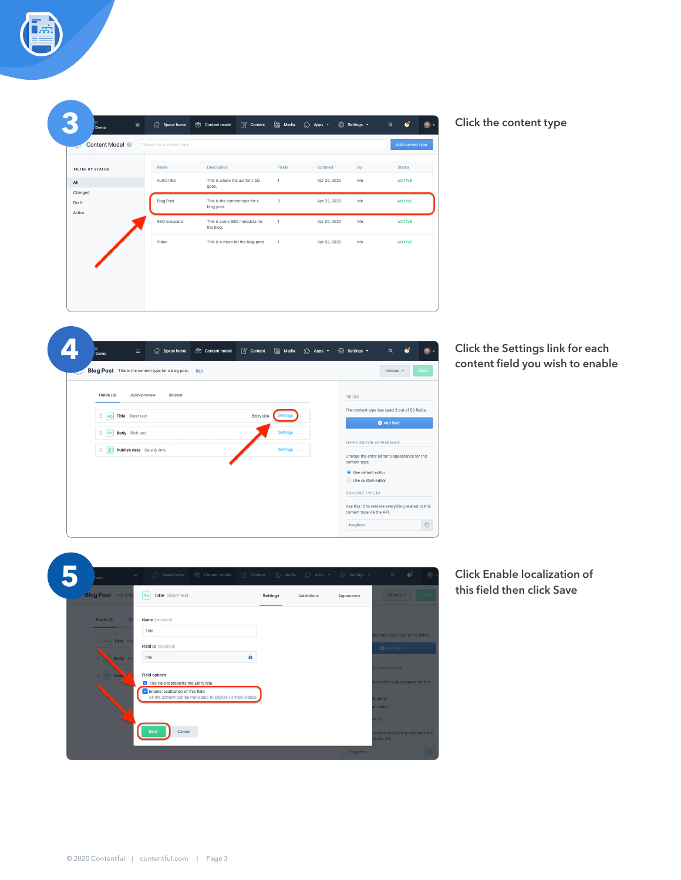|  |  | Click the content type |  |
|--|--|------------------------|--|
|--|--|------------------------|--|

 $Q = Q^2$ 

Status

ACTIVE

ACTIVE

ACTIVE

ACTIVE

Add content type

 $\circ$ 

|      |          |                 |               | $\mathbb{Z}$ Content | [因 Media | $\left\{\ddot{}}\right\}$ Apps $\sim$ | © Settings ▼ |   |   |
|------|----------|-----------------|---------------|----------------------|----------|---------------------------------------|--------------|---|---|
| Demo | $\equiv$ | 깑<br>Space home | Content model |                      |          |                                       |              | Q | ø |

 $\hat{r}$  Space home  $\hat{r}$  Content model  $\hat{p}$  Content  $\hat{r}$  Media  $\hat{r}$  Apps  $\star$   $\hat{r}$  Settings  $\star$ 

Fields

 $\mathbf 1$ 

 $\overline{\mathbf{3}}$ 

 $\,$  1  $\,$ 

 $\bar{1}$ 

Description

This is where the author's bio<br>goes.

This is the content type for a<br>blog post.

This is some SEO metadata for<br>the blog.

This is a video for the blog post.

Updated

Apr 26, 2020

Apr 25, 2020

Apr 26, 2020

Apr 25, 2020

 $By$ 

Me

 $M_{\rm e}$ 

Me

Me

ENTRY EDITOR APPEARANCE

 $\bullet$  Use default editor  $\bigcirc$  Use custom editor CONTENT TYPE ID

blogPost

Change the entry editor's appearance for this<br>content type.

Use this ID to retrieve everything related to this<br>content type via the API.

 $\hfill\ensuremath{\mathsf{D}}$ 

**3**

 $\mathsf{All}$ 

Changed

Draft Active

Content Model @

 $\frac{1}{2}$  **Publish date** Date & time

FILTER BY STATUS

Search for a content type

Name

Author Bio

**Blog Post** 

SEO metadata

Video

**Click the Settings link for each content field you wish to enable**